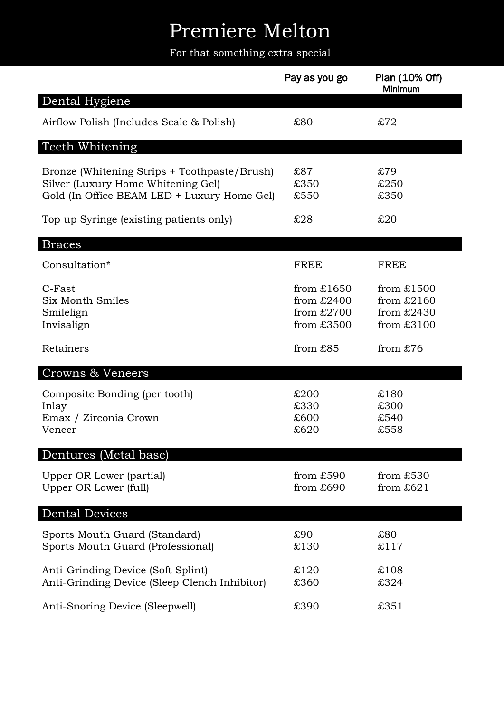## Premiere Melton

For that something extra special

|                                                                                                                                   | Pay as you go                                              | Plan (10% Off)<br>Minimum                                  |
|-----------------------------------------------------------------------------------------------------------------------------------|------------------------------------------------------------|------------------------------------------------------------|
| Dental Hygiene                                                                                                                    |                                                            |                                                            |
| Airflow Polish (Includes Scale & Polish)                                                                                          | £80                                                        | \$72                                                       |
| Teeth Whitening                                                                                                                   |                                                            |                                                            |
| Bronze (Whitening Strips + Toothpaste/Brush)<br>Silver (Luxury Home Whitening Gel)<br>Gold (In Office BEAM LED + Luxury Home Gel) | \$87<br>£350<br>£550                                       | £79<br>£250<br>£350                                        |
| Top up Syringe (existing patients only)                                                                                           | £28                                                        | £20                                                        |
| <b>Braces</b>                                                                                                                     |                                                            |                                                            |
| Consultation*                                                                                                                     | <b>FREE</b>                                                | <b>FREE</b>                                                |
| C-Fast<br>Six Month Smiles<br>Smilelign<br>Invisalign                                                                             | from $£1650$<br>from $£2400$<br>from $£2700$<br>from £3500 | from $£1500$<br>from $£2160$<br>from $£2430$<br>from £3100 |
| Retainers                                                                                                                         | from £85                                                   | from $£76$                                                 |
| Crowns & Veneers                                                                                                                  |                                                            |                                                            |
| Composite Bonding (per tooth)<br>Inlay<br>Emax / Zirconia Crown<br>Veneer                                                         | £200<br>£330<br>£600<br>£620                               | £180<br>£300<br>£540<br>£558                               |
| Dentures (Metal base)                                                                                                             |                                                            |                                                            |
| Upper OR Lower (partial)<br>Upper OR Lower (full)                                                                                 | from $£590$<br>from $£690$                                 | from £530<br>from $£621$                                   |
| <b>Dental Devices</b>                                                                                                             |                                                            |                                                            |
| Sports Mouth Guard (Standard)<br>Sports Mouth Guard (Professional)                                                                | £90<br>£130                                                | £80<br>£117                                                |
| Anti-Grinding Device (Soft Splint)<br>Anti-Grinding Device (Sleep Clench Inhibitor)                                               | £120<br>£360                                               | £108<br>£324                                               |
| Anti-Snoring Device (Sleepwell)                                                                                                   | £390                                                       | £351                                                       |